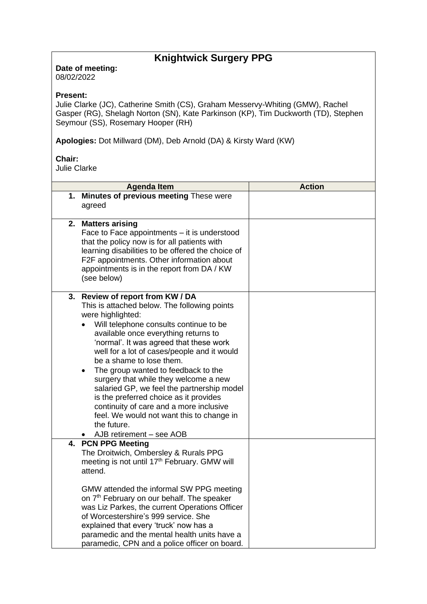# **Knightwick Surgery PPG**

**Date of meeting:**  08/02/2022

## **Present:**

Julie Clarke (JC), Catherine Smith (CS), Graham Messervy-Whiting (GMW), Rachel Gasper (RG), Shelagh Norton (SN), Kate Parkinson (KP), Tim Duckworth (TD), Stephen Seymour (SS), Rosemary Hooper (RH)

**Apologies:** Dot Millward (DM), Deb Arnold (DA) & Kirsty Ward (KW)

## **Chair:**

Julie Clarke

| <b>Agenda Item</b>                                                                                                                                                                                                                                                                                                                                                                                                                                                                                                                                                                                                                       | <b>Action</b> |
|------------------------------------------------------------------------------------------------------------------------------------------------------------------------------------------------------------------------------------------------------------------------------------------------------------------------------------------------------------------------------------------------------------------------------------------------------------------------------------------------------------------------------------------------------------------------------------------------------------------------------------------|---------------|
| 1. Minutes of previous meeting These were<br>agreed                                                                                                                                                                                                                                                                                                                                                                                                                                                                                                                                                                                      |               |
| 2. Matters arising<br>Face to Face appointments - it is understood<br>that the policy now is for all patients with<br>learning disabilities to be offered the choice of<br>F2F appointments. Other information about<br>appointments is in the report from DA / KW<br>(see below)                                                                                                                                                                                                                                                                                                                                                        |               |
| Review of report from KW / DA<br>3.<br>This is attached below. The following points<br>were highlighted:<br>Will telephone consults continue to be<br>available once everything returns to<br>'normal'. It was agreed that these work<br>well for a lot of cases/people and it would<br>be a shame to lose them.<br>The group wanted to feedback to the<br>$\bullet$<br>surgery that while they welcome a new<br>salaried GP, we feel the partnership model<br>is the preferred choice as it provides<br>continuity of care and a more inclusive<br>feel. We would not want this to change in<br>the future.<br>AJB retirement - see AOB |               |
| <b>PCN PPG Meeting</b><br>4.<br>The Droitwich, Ombersley & Rurals PPG<br>meeting is not until 17 <sup>th</sup> February. GMW will<br>attend.<br>GMW attended the informal SW PPG meeting<br>on 7 <sup>th</sup> February on our behalf. The speaker<br>was Liz Parkes, the current Operations Officer<br>of Worcestershire's 999 service. She<br>explained that every 'truck' now has a<br>paramedic and the mental health units have a<br>paramedic, CPN and a police officer on board.                                                                                                                                                  |               |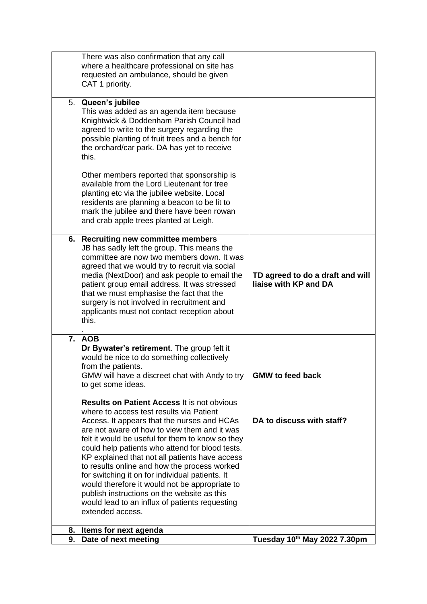|    | There was also confirmation that any call<br>where a healthcare professional on site has<br>requested an ambulance, should be given<br>CAT 1 priority.                                                                                                                                                                                                                                                                                                                                                                                                                                                                           |                                                           |
|----|----------------------------------------------------------------------------------------------------------------------------------------------------------------------------------------------------------------------------------------------------------------------------------------------------------------------------------------------------------------------------------------------------------------------------------------------------------------------------------------------------------------------------------------------------------------------------------------------------------------------------------|-----------------------------------------------------------|
|    | 5. Queen's jubilee<br>This was added as an agenda item because<br>Knightwick & Doddenham Parish Council had<br>agreed to write to the surgery regarding the<br>possible planting of fruit trees and a bench for<br>the orchard/car park. DA has yet to receive<br>this.                                                                                                                                                                                                                                                                                                                                                          |                                                           |
|    | Other members reported that sponsorship is<br>available from the Lord Lieutenant for tree<br>planting etc via the jubilee website. Local<br>residents are planning a beacon to be lit to<br>mark the jubilee and there have been rowan<br>and crab apple trees planted at Leigh.                                                                                                                                                                                                                                                                                                                                                 |                                                           |
|    | 6. Recruiting new committee members<br>JB has sadly left the group. This means the<br>committee are now two members down. It was<br>agreed that we would try to recruit via social<br>media (NextDoor) and ask people to email the<br>patient group email address. It was stressed<br>that we must emphasise the fact that the<br>surgery is not involved in recruitment and<br>applicants must not contact reception about<br>this.                                                                                                                                                                                             | TD agreed to do a draft and will<br>liaise with KP and DA |
|    | 7. AOB<br>Dr Bywater's retirement. The group felt it<br>would be nice to do something collectively<br>from the patients.<br>GMW will have a discreet chat with Andy to try<br>to get some ideas.                                                                                                                                                                                                                                                                                                                                                                                                                                 | <b>GMW</b> to feed back                                   |
|    | <b>Results on Patient Access It is not obvious</b><br>where to access test results via Patient<br>Access. It appears that the nurses and HCAs<br>are not aware of how to view them and it was<br>felt it would be useful for them to know so they<br>could help patients who attend for blood tests.<br>KP explained that not all patients have access<br>to results online and how the process worked<br>for switching it on for individual patients. It<br>would therefore it would not be appropriate to<br>publish instructions on the website as this<br>would lead to an influx of patients requesting<br>extended access. | DA to discuss with staff?                                 |
| 8. | Items for next agenda                                                                                                                                                                                                                                                                                                                                                                                                                                                                                                                                                                                                            |                                                           |
| 9. | Date of next meeting                                                                                                                                                                                                                                                                                                                                                                                                                                                                                                                                                                                                             | Tuesday 10th May 2022 7.30pm                              |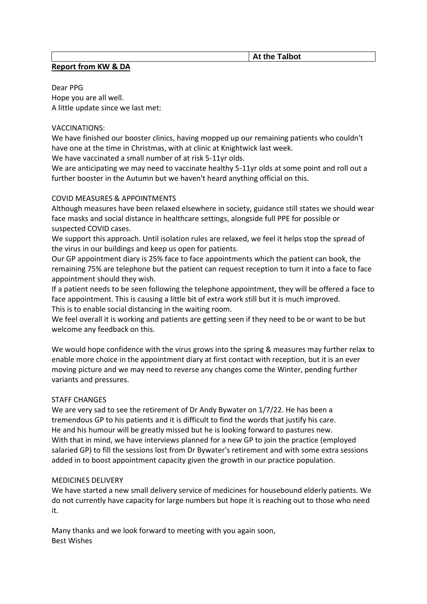### **At the Talbot**

## **Report from KW & DA**

Dear PPG Hope you are all well. A little update since we last met:

#### VACCINATIONS:

We have finished our booster clinics, having mopped up our remaining patients who couldn't have one at the time in Christmas, with at clinic at Knightwick last week.

We have vaccinated a small number of at risk 5-11yr olds.

We are anticipating we may need to vaccinate healthy 5-11yr olds at some point and roll out a further booster in the Autumn but we haven't heard anything official on this.

### COVID MEASURES & APPOINTMENTS

Although measures have been relaxed elsewhere in society, guidance still states we should wear face masks and social distance in healthcare settings, alongside full PPE for possible or suspected COVID cases.

We support this approach. Until isolation rules are relaxed, we feel it helps stop the spread of the virus in our buildings and keep us open for patients.

Our GP appointment diary is 25% face to face appointments which the patient can book, the remaining 75% are telephone but the patient can request reception to turn it into a face to face appointment should they wish.

If a patient needs to be seen following the telephone appointment, they will be offered a face to face appointment. This is causing a little bit of extra work still but it is much improved. This is to enable social distancing in the waiting room.

We feel overall it is working and patients are getting seen if they need to be or want to be but welcome any feedback on this.

We would hope confidence with the virus grows into the spring & measures may further relax to enable more choice in the appointment diary at first contact with reception, but it is an ever moving picture and we may need to reverse any changes come the Winter, pending further variants and pressures.

## STAFF CHANGES

We are very sad to see the retirement of Dr Andy Bywater on 1/7/22. He has been a tremendous GP to his patients and it is difficult to find the words that justify his care. He and his humour will be greatly missed but he is looking forward to pastures new. With that in mind, we have interviews planned for a new GP to join the practice (employed salaried GP) to fill the sessions lost from Dr Bywater's retirement and with some extra sessions added in to boost appointment capacity given the growth in our practice population.

#### MEDICINES DELIVERY

We have started a new small delivery service of medicines for housebound elderly patients. We do not currently have capacity for large numbers but hope it is reaching out to those who need it.

Many thanks and we look forward to meeting with you again soon, Best Wishes